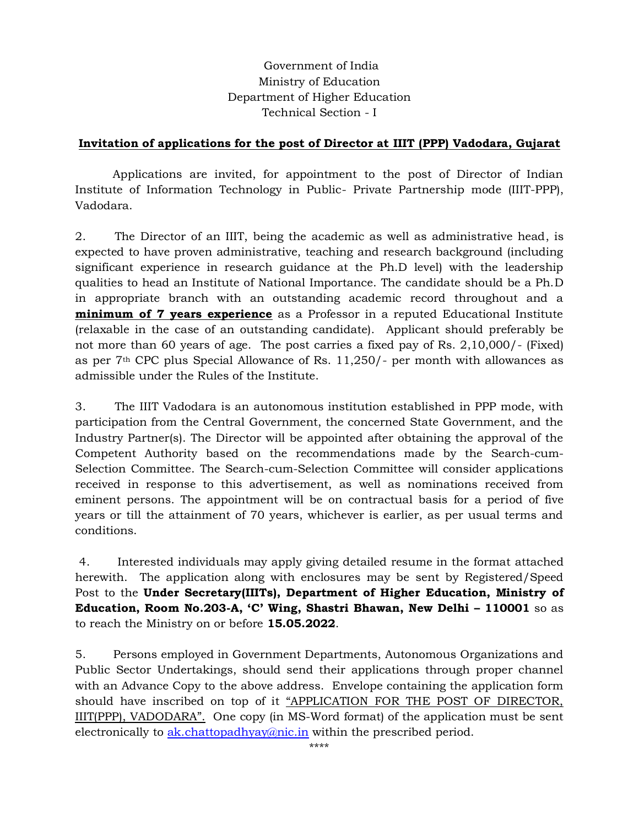# Government of India Ministry of Education Department of Higher Education Technical Section - I

### **Invitation of applications for the post of Director at IIIT (PPP) Vadodara, Gujarat**

Applications are invited, for appointment to the post of Director of Indian Institute of Information Technology in Public- Private Partnership mode (IIIT-PPP), Vadodara.

2. The Director of an IIIT, being the academic as well as administrative head, is expected to have proven administrative, teaching and research background (including significant experience in research guidance at the Ph.D level) with the leadership qualities to head an Institute of National Importance. The candidate should be a Ph.D in appropriate branch with an outstanding academic record throughout and a **minimum of 7 years experience** as a Professor in a reputed Educational Institute (relaxable in the case of an outstanding candidate). Applicant should preferably be not more than 60 years of age. The post carries a fixed pay of Rs. 2,10,000/- (Fixed) as per 7th CPC plus Special Allowance of Rs. 11,250/- per month with allowances as admissible under the Rules of the Institute.

3. The IIIT Vadodara is an autonomous institution established in PPP mode, with participation from the Central Government, the concerned State Government, and the Industry Partner(s). The Director will be appointed after obtaining the approval of the Competent Authority based on the recommendations made by the Search-cum-Selection Committee. The Search-cum-Selection Committee will consider applications received in response to this advertisement, as well as nominations received from eminent persons. The appointment will be on contractual basis for a period of five years or till the attainment of 70 years, whichever is earlier, as per usual terms and conditions.

4. Interested individuals may apply giving detailed resume in the format attached herewith. The application along with enclosures may be sent by Registered/Speed Post to the **Under Secretary(IIITs), Department of Higher Education, Ministry of Education, Room No.203-A, 'C' Wing, Shastri Bhawan, New Delhi – 110001** so as to reach the Ministry on or before **15.05.2022**.

5. Persons employed in Government Departments, Autonomous Organizations and Public Sector Undertakings, should send their applications through proper channel with an Advance Copy to the above address. Envelope containing the application form should have inscribed on top of it "APPLICATION FOR THE POST OF DIRECTOR, IIIT(PPP), VADODARA". One copy (in MS-Word format) of the application must be sent electronically to [ak.chattopadhyay@nic.in](mailto:ak.chattopadhyay@nic.in) within the prescribed period.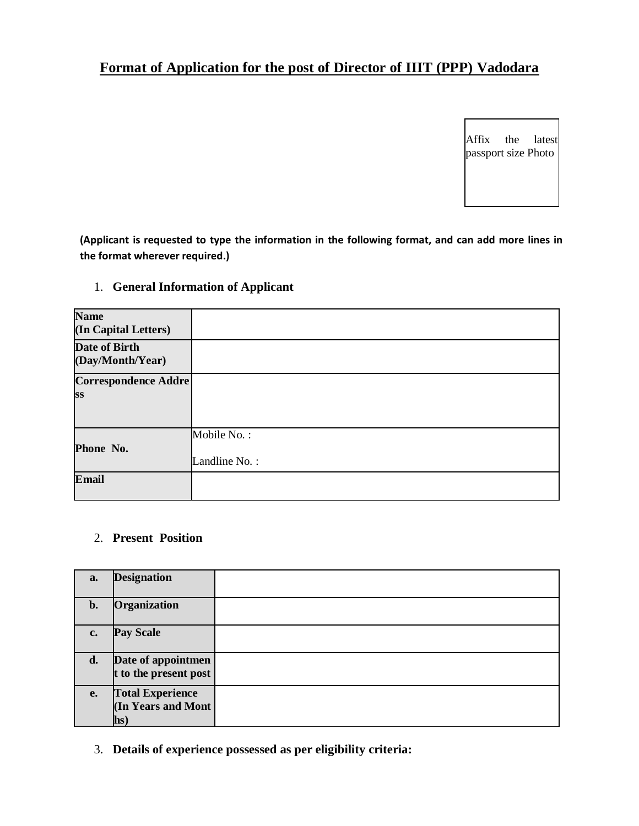# **Format of Application for the post of Director of IIIT (PPP) Vadodara**

Affix the latest passport size Photo

**(Applicant is requested to type the information in the following format, and can add more lines in the format wherever required.)** 

# 1. **General Information of Applicant**

| <b>Name</b><br>(In Capital Letters) |               |
|-------------------------------------|---------------|
| Date of Birth<br>(Day/Month/Year)   |               |
| <b>Correspondence Addre</b>         |               |
| <b>SS</b>                           |               |
|                                     |               |
|                                     | Mobile No.:   |
| Phone No.                           |               |
|                                     | Landline No.: |
| <b>Email</b>                        |               |
|                                     |               |

## 2. **Present Position**

| a.             | <b>Designation</b>                                                      |  |
|----------------|-------------------------------------------------------------------------|--|
| $\mathbf{b}$ . | Organization                                                            |  |
| c.             | <b>Pay Scale</b>                                                        |  |
| d.             | Date of appointmen<br>t to the present post                             |  |
| <b>e.</b>      | <b>Total Experience</b><br>(In Years and Mont<br>$\mathbf{h}\mathbf{s}$ |  |

3. **Details of experience possessed as per eligibility criteria:**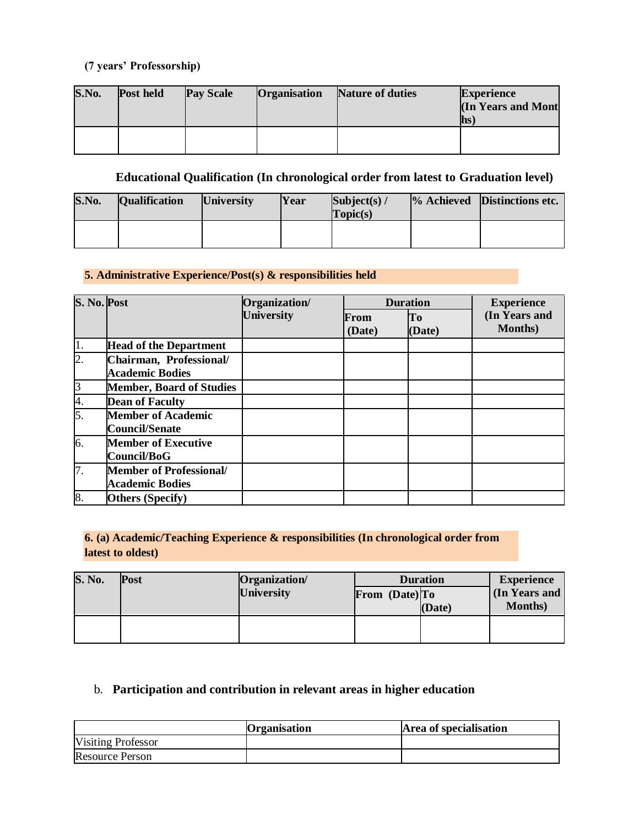# **(7 years' Professorship)**

| S.No. | Post held | <b>Pay Scale</b> | <b>Organisation</b> | Nature of duties | <b>Experience</b><br><b>In Years and Mont</b><br><b>lhs</b> |
|-------|-----------|------------------|---------------------|------------------|-------------------------------------------------------------|
|       |           |                  |                     |                  |                                                             |

# **Educational Qualification (In chronological order from latest to Graduation level)**

| S.No. | <b>Qualification</b> | <b>University</b> | Year | Subject(s) $/$<br>Topic(s) | % Achieved Distinctions etc. |
|-------|----------------------|-------------------|------|----------------------------|------------------------------|
|       |                      |                   |      |                            |                              |

### **5. Administrative Experience/Post(s) & responsibilities held**

| S. No. Post      |                                                          | Organization/     |                | <b>Duration</b> | <b>Experience</b><br>(In Years and<br><b>Months</b> ) |
|------------------|----------------------------------------------------------|-------------------|----------------|-----------------|-------------------------------------------------------|
|                  |                                                          | <b>University</b> | From<br>(Date) | To<br>(Date)    |                                                       |
| 1.               | <b>Head of the Department</b>                            |                   |                |                 |                                                       |
| $\overline{2}$ . | Chairman, Professional/<br><b>Academic Bodies</b>        |                   |                |                 |                                                       |
| $\overline{3}$   | <b>Member, Board of Studies</b>                          |                   |                |                 |                                                       |
| 4.               | <b>Dean of Faculty</b>                                   |                   |                |                 |                                                       |
| 5.               | <b>Member of Academic</b><br><b>Council/Senate</b>       |                   |                |                 |                                                       |
| 6.               | <b>Member of Executive</b><br>Council/BoG                |                   |                |                 |                                                       |
| 7.               | <b>Member of Professional/</b><br><b>Academic Bodies</b> |                   |                |                 |                                                       |
| 8.               | <b>Others (Specify)</b>                                  |                   |                |                 |                                                       |

### **6. (a) Academic/Teaching Experience & responsibilities (In chronological order from latest to oldest)**

| <b>S. No.</b> | <b>Post</b> | Organization      | <b>Duration</b> | <b>Experience</b> |                                  |
|---------------|-------------|-------------------|-----------------|-------------------|----------------------------------|
|               |             | <b>University</b> | From (Date) To  | (Date)            | (In Years and<br><b>Months</b> ) |
|               |             |                   |                 |                   |                                  |

# b. **Participation and contribution in relevant areas in higher education**

|                           | Organisation | Area of specialisation |
|---------------------------|--------------|------------------------|
| <b>Visiting Professor</b> |              |                        |
| <b>Resource Person</b>    |              |                        |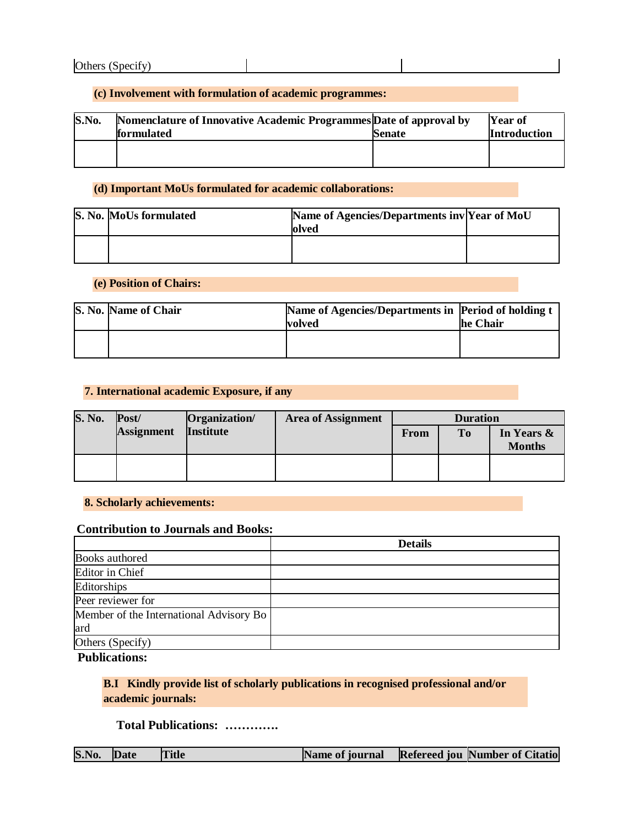#### **(c) Involvement with formulation of academic programmes:**

| S.No. | Nomenclature of Innovative Academic Programmes Date of approval by |               | <b>Year of</b>      |
|-------|--------------------------------------------------------------------|---------------|---------------------|
|       | <b>formulated</b>                                                  | <b>Senate</b> | <b>Introduction</b> |
|       |                                                                    |               |                     |
|       |                                                                    |               |                     |

#### **(d) Important MoUs formulated for academic collaborations:**

| S. No. MoUs formulated | Name of Agencies/Departments inv Year of MoU<br>lolved |  |
|------------------------|--------------------------------------------------------|--|
|                        |                                                        |  |

#### **(e) Position of Chairs:**

| S. No. Name of Chair | Name of Agencies/Departments in Period of holding t<br><b>volved</b> | he Chair |
|----------------------|----------------------------------------------------------------------|----------|
|                      |                                                                      |          |

#### **7. International academic Exposure, if any**

| <b>S. No.</b> | $\textbf{Post}/\textbf{}$ | Organization     | <b>Area of Assignment</b> |      | <b>Duration</b> |                             |
|---------------|---------------------------|------------------|---------------------------|------|-----------------|-----------------------------|
|               | <b>Assignment</b>         | <b>Institute</b> |                           | From | <b>To</b>       | In Years &<br><b>Months</b> |
|               |                           |                  |                           |      |                 |                             |

#### **8. Scholarly achievements:**

#### **Contribution to Journals and Books:**

|                                         | <b>Details</b> |
|-----------------------------------------|----------------|
| Books authored                          |                |
| Editor in Chief                         |                |
| Editorships                             |                |
| Peer reviewer for                       |                |
| Member of the International Advisory Bo |                |
| ard                                     |                |
| Others (Specify)                        |                |

**Publications:**

## **B.I Kindly provide list of scholarly publications in recognised professional and/or academic journals:**

# **Total Publications: ………….**

| S.No. Date |  | <b>Title</b> | Name of journal |  | <b>Refereed jou Number of Citatio</b> |
|------------|--|--------------|-----------------|--|---------------------------------------|
|------------|--|--------------|-----------------|--|---------------------------------------|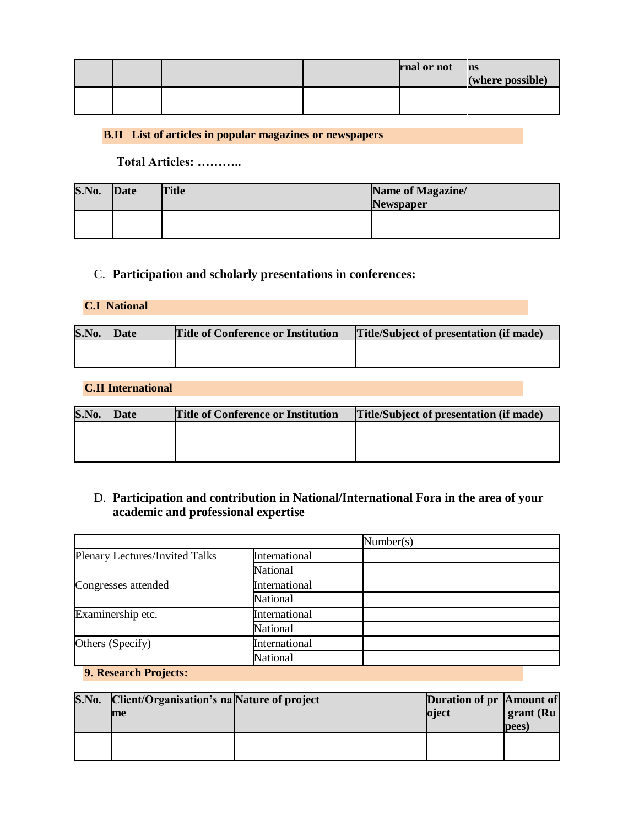|  |  | rnal or not | <b>ns</b><br>(where possible) |
|--|--|-------------|-------------------------------|
|  |  |             |                               |

## **B.II List of articles in popular magazines or newspapers**

**Total Articles: ………..**

| S.No. | Date | <b>Title</b> | Name of Magazine/<br><b>Newspaper</b> |
|-------|------|--------------|---------------------------------------|
|       |      |              |                                       |

## C. **Participation and scholarly presentations in conferences:**

### **C.I National**

| S.No. | <b>Date</b> | <b>Title of Conference or Institution</b> | <b>Title/Subject of presentation (if made)</b> |
|-------|-------------|-------------------------------------------|------------------------------------------------|
|       |             |                                           |                                                |
|       |             |                                           |                                                |

#### **C.II International**

| S.No. | <b>Date</b> | <b>Title of Conference or Institution</b> | Title/Subject of presentation (if made) |
|-------|-------------|-------------------------------------------|-----------------------------------------|
|       |             |                                           |                                         |
|       |             |                                           |                                         |
|       |             |                                           |                                         |

# D. **Participation and contribution in National/International Fora in the area of your academic and professional expertise**

#### **9. Research Projects:**

| S.No. | Client/Organisation's na Nature of project<br>me | Duration of pr Amount of<br>oject | grant (Ru<br>pees) |
|-------|--------------------------------------------------|-----------------------------------|--------------------|
|       |                                                  |                                   |                    |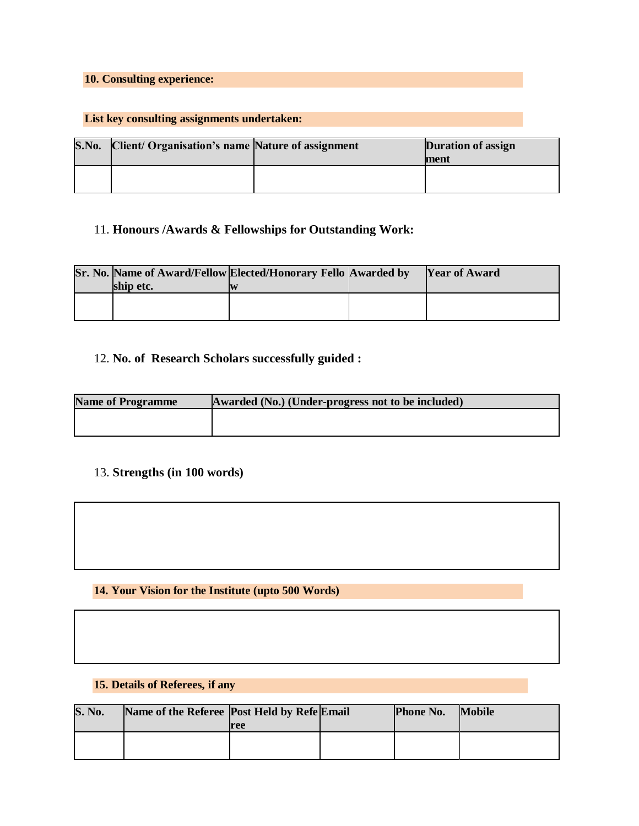# **10. Consulting experience:**

## **List key consulting assignments undertaken:**

| S.No. | Client/ Organisation's name Nature of assignment | <b>Duration of assign</b><br>ment |
|-------|--------------------------------------------------|-----------------------------------|
|       |                                                  |                                   |

## 11. **Honours /Awards & Fellowships for Outstanding Work:**

|           | Sr. No. Name of Award/Fellow Elected/Honorary Fello Awarded by | <b>Year of Award</b> |
|-----------|----------------------------------------------------------------|----------------------|
| ship etc. |                                                                |                      |
|           |                                                                |                      |
|           |                                                                |                      |

# 12. **No. of Research Scholars successfully guided :**

| <b>Name of Programme</b> | Awarded (No.) (Under-progress not to be included) |
|--------------------------|---------------------------------------------------|
|                          |                                                   |
|                          |                                                   |

# 13. **Strengths (in 100 words)**

### **14. Your Vision for the Institute (upto 500 Words)**

# **15. Details of Referees, if any**

| <b>S. No.</b> | Name of the Referee Post Held by Refe Email |     | <b>Phone No.</b> | <b>Mobile</b> |
|---------------|---------------------------------------------|-----|------------------|---------------|
|               |                                             | ree |                  |               |
|               |                                             |     |                  |               |
|               |                                             |     |                  |               |